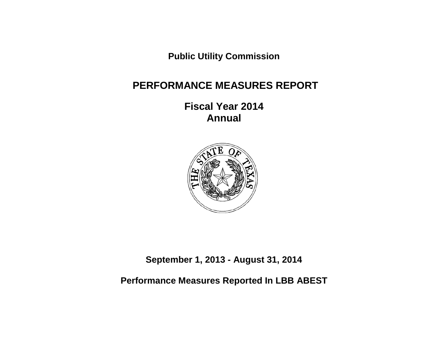**Public Utility Commission**

# **PERFORMANCE MEASURES REPORT**

**Fiscal Year 2014 Annual**



**September 1, 2013 - August 31, 2014**

**Performance Measures Reported In LBB ABEST**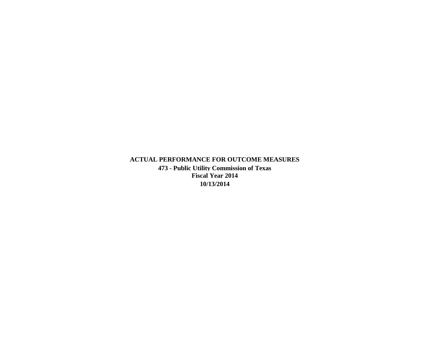**ACTUAL PERFORMANCE FOR OUTCOME MEASURES 473 - Public Utility Commission of Texas Fiscal Year 2014 10/13/2014**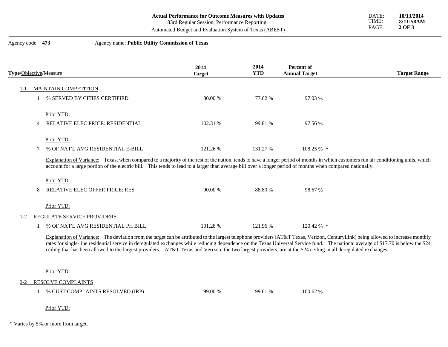| <b>Actual Performance for Outcome Measures with Updates</b> |  |
|-------------------------------------------------------------|--|
| 83rd Regular Session, Performance Reporting                 |  |

Automated Budget and Evaluation System of Texas (ABEST)

#### Agency code: **473** Agency name: **Public Utility Commission of Texas**

| Type/Objective/Measure                                                                                                                                                                                                                                                                                                                             | 2014<br><b>Target</b> | 2014<br><b>YTD</b> | <b>Percent of</b><br><b>Annual Target</b> | <b>Target Range</b> |
|----------------------------------------------------------------------------------------------------------------------------------------------------------------------------------------------------------------------------------------------------------------------------------------------------------------------------------------------------|-----------------------|--------------------|-------------------------------------------|---------------------|
| <b>MAINTAIN COMPETITION</b>                                                                                                                                                                                                                                                                                                                        |                       |                    |                                           |                     |
| % SERVED BY CITIES CERTIFIED                                                                                                                                                                                                                                                                                                                       | 80.00 %               | 77.62 %            | 97.03 %                                   |                     |
| Prior YTD:                                                                                                                                                                                                                                                                                                                                         |                       |                    |                                           |                     |
| <b>RELATIVE ELEC PRICE: RESIDENTIAL</b><br>4                                                                                                                                                                                                                                                                                                       | 102.31 %              | 99.81 %            | 97.56 %                                   |                     |
| Prior YTD:                                                                                                                                                                                                                                                                                                                                         |                       |                    |                                           |                     |
| % OF NAT'L AVG RESIDENTIAL E-BILL                                                                                                                                                                                                                                                                                                                  | 121.26 %              | 131.27 %           | $108.25\%$ *                              |                     |
| Explanation of Variance: Texas, when compared to a majority of the rest of the nation, tends to have a longer period of months in which customers run air conditioning units, which<br>account for a large portion of the electric bill. This tends to lead to a larger than average bill over a longer period of months when compared nationally. |                       |                    |                                           |                     |
| Prior YTD:                                                                                                                                                                                                                                                                                                                                         |                       |                    |                                           |                     |
| RELATIVE ELEC OFFER PRICE: RES<br>8                                                                                                                                                                                                                                                                                                                | 90.00 %               | 88.80 %            | 98.67 %                                   |                     |
| Prior YTD:                                                                                                                                                                                                                                                                                                                                         |                       |                    |                                           |                     |
| REGULATE SERVICE PROVIDERS<br>$1 - 2$                                                                                                                                                                                                                                                                                                              |                       |                    |                                           |                     |
| % OF NAT'L AVG RESIDENTIAL PH BILL                                                                                                                                                                                                                                                                                                                 | 101.28%               | 121.96 %           | 120.42 % *                                |                     |

Explanation of Variance: The deviation from the target can be attributed to the largest telephone providers (AT&T Texas, Verizon, CenturyLink) being allowed to increase monthly rates for single-line residential service in deregulated exchanges while reducing dependence on the Texas Universal Service fund. The national average of \$17.70 is below the \$24 ceiling that has been allowed to the largest providers. AT&T Texas and Verizon, the two largest providers, are at the \$24 ceiling in all deregulated exchanges.

Prior YTD:

2-2 RESOLVE COMPLAINTS

|  | % CUST COMPLAINTS RESOLVED (IRP) | 99.00 % | 99.61 % | 100.62 % |
|--|----------------------------------|---------|---------|----------|
|--|----------------------------------|---------|---------|----------|

Prior YTD:

\* Varies by 5% or more from target.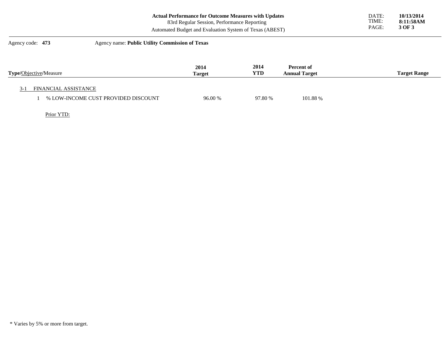| Agency code: 473 | Agency name: Public Utility Commission of Texas             |       |            |
|------------------|-------------------------------------------------------------|-------|------------|
|                  | Automated Budget and Evaluation System of Texas (ABEST)     | PAGE: | 3 OF 3     |
|                  | 83rd Regular Session, Performance Reporting                 | TIME: | 8:11:58AM  |
|                  | <b>Actual Performance for Outcome Measures with Updates</b> | DATE: | 10/13/2014 |

| <b>Type/Objective/Measure</b>       | 2014<br><b>Target</b> | 2014<br>YTD | Percent of<br><b>Annual Target</b> | <b>Target Range</b> |
|-------------------------------------|-----------------------|-------------|------------------------------------|---------------------|
| FINANCIAL ASSISTANCE                |                       |             |                                    |                     |
| % LOW-INCOME CUST PROVIDED DISCOUNT | 96.00 %               | 97.80 %     | 101.88 %                           |                     |

Prior YTD:

<sup>\*</sup> Varies by 5% or more from target.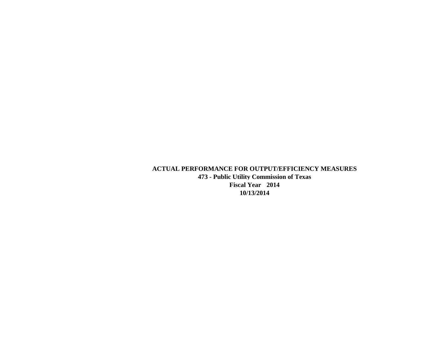**ACTUAL PERFORMANCE FOR OUTPUT/EFFICIENCY MEASURES 473 - Public Utility Commission of Texas Fiscal Year 2014 10/13/2014**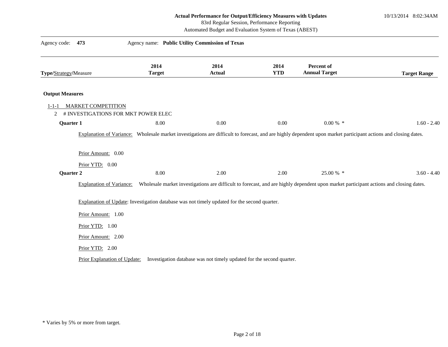10/13/2014 8:02:34AM

83rd Regular Session, Performance Reporting

| 473<br>Agency code:                                                                  | Agency name: Public Utility Commission of Texas                                                    |                       |                    |                                                                                                                                                                 |                     |
|--------------------------------------------------------------------------------------|----------------------------------------------------------------------------------------------------|-----------------------|--------------------|-----------------------------------------------------------------------------------------------------------------------------------------------------------------|---------------------|
| Type/Strategy/Measure                                                                | 2014<br><b>Target</b>                                                                              | 2014<br><b>Actual</b> | 2014<br><b>YTD</b> | Percent of<br><b>Annual Target</b>                                                                                                                              | <b>Target Range</b> |
| <b>Output Measures</b>                                                               |                                                                                                    |                       |                    |                                                                                                                                                                 |                     |
| <b>MARKET COMPETITION</b><br>$1 - 1 - 1$<br># INVESTIGATIONS FOR MKT POWER ELEC<br>2 |                                                                                                    |                       |                    |                                                                                                                                                                 |                     |
| Quarter 1                                                                            | 8.00                                                                                               | 0.00                  | 0.00               | $0.00\%$ *                                                                                                                                                      | $1.60 - 2.40$       |
|                                                                                      |                                                                                                    |                       |                    | Explanation of Variance: Wholesale market investigations are difficult to forecast, and are highly dependent upon market participant actions and closing dates. |                     |
| Prior Amount: 0.00<br>Prior YTD: 0.00                                                |                                                                                                    |                       |                    |                                                                                                                                                                 |                     |
| Quarter 2                                                                            | 8.00                                                                                               | 2.00                  | 2.00               | 25.00 % *                                                                                                                                                       | $3.60 - 4.40$       |
| <b>Explanation of Variance:</b>                                                      |                                                                                                    |                       |                    | Wholesale market investigations are difficult to forecast, and are highly dependent upon market participant actions and closing dates.                          |                     |
|                                                                                      | Explanation of Update: Investigation database was not timely updated for the second quarter.       |                       |                    |                                                                                                                                                                 |                     |
| Prior Amount: 1.00                                                                   |                                                                                                    |                       |                    |                                                                                                                                                                 |                     |
| Prior YTD: 1.00                                                                      |                                                                                                    |                       |                    |                                                                                                                                                                 |                     |
| Prior Amount: 2.00                                                                   |                                                                                                    |                       |                    |                                                                                                                                                                 |                     |
| Prior YTD: 2.00                                                                      |                                                                                                    |                       |                    |                                                                                                                                                                 |                     |
|                                                                                      | Prior Explanation of Update: Investigation database was not timely updated for the second quarter. |                       |                    |                                                                                                                                                                 |                     |

<sup>\*</sup> Varies by 5% or more from target.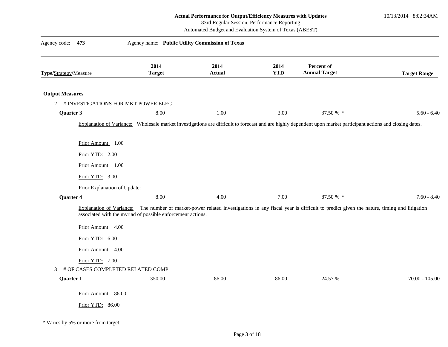10/13/2014 8:02:34AM

83rd Regular Session, Performance Reporting

Automated Budget and Evaluation System of Texas (ABEST)

| Agency code: 473                                          | Agency name: Public Utility Commission of Texas             |                       |                    |                                                                                                                                                                |                     |
|-----------------------------------------------------------|-------------------------------------------------------------|-----------------------|--------------------|----------------------------------------------------------------------------------------------------------------------------------------------------------------|---------------------|
| Type/Strategy/Measure                                     | 2014<br><b>Target</b>                                       | 2014<br><b>Actual</b> | 2014<br><b>YTD</b> | Percent of<br><b>Annual Target</b>                                                                                                                             | <b>Target Range</b> |
| <b>Output Measures</b>                                    |                                                             |                       |                    |                                                                                                                                                                |                     |
| 2 # INVESTIGATIONS FOR MKT POWER ELEC                     |                                                             |                       |                    |                                                                                                                                                                |                     |
| Quarter 3                                                 | 8.00                                                        | 1.00                  | 3.00               | 37.50 % *                                                                                                                                                      | $5.60 - 6.40$       |
|                                                           |                                                             |                       |                    | Explanation of Variance: Wholesale market investigations are difficult to forecast and are highly dependent upon market participant actions and closing dates. |                     |
| Prior Amount: 1.00                                        |                                                             |                       |                    |                                                                                                                                                                |                     |
| Prior YTD: 2.00                                           |                                                             |                       |                    |                                                                                                                                                                |                     |
| Prior Amount: 1.00                                        |                                                             |                       |                    |                                                                                                                                                                |                     |
| Prior YTD: 3.00                                           |                                                             |                       |                    |                                                                                                                                                                |                     |
| Prior Explanation of Update: .                            |                                                             |                       |                    |                                                                                                                                                                |                     |
| Quarter 4                                                 | 8.00                                                        | 4.00                  | 7.00               | 87.50 % *                                                                                                                                                      | $7.60 - 8.40$       |
| Explanation of Variance:                                  | associated with the myriad of possible enforcement actions. |                       |                    | The number of market-power related investigations in any fiscal year is difficult to predict given the nature, timing and litigation                           |                     |
| Prior Amount: 4.00                                        |                                                             |                       |                    |                                                                                                                                                                |                     |
| Prior YTD: 6.00                                           |                                                             |                       |                    |                                                                                                                                                                |                     |
| Prior Amount: 4.00                                        |                                                             |                       |                    |                                                                                                                                                                |                     |
| Prior YTD: 7.00<br># OF CASES COMPLETED RELATED COMP<br>3 |                                                             |                       |                    |                                                                                                                                                                |                     |
| Quarter 1                                                 | 350.00                                                      | 86.00                 | 86.00              | 24.57 %                                                                                                                                                        | $70.00 - 105.00$    |
| Prior Amount: 86.00                                       |                                                             |                       |                    |                                                                                                                                                                |                     |
| Prior YTD: 86.00                                          |                                                             |                       |                    |                                                                                                                                                                |                     |
|                                                           |                                                             |                       |                    |                                                                                                                                                                |                     |

\* Varies by 5% or more from target.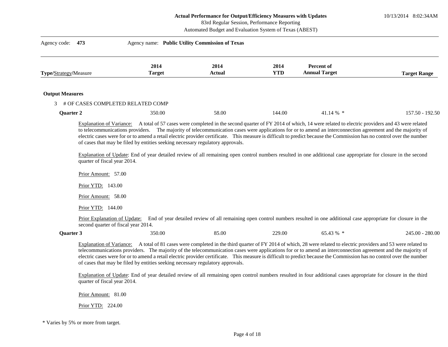10/13/2014 8:02:34AM

### 83rd Regular Session, Performance Reporting

Automated Budget and Evaluation System of Texas (ABEST)

| Agency code:<br>473               | Agency name: Public Utility Commission of Texas |                |             |                                    |                     |
|-----------------------------------|-------------------------------------------------|----------------|-------------|------------------------------------|---------------------|
| <b>Type/Strategy/Measure</b>      | 2014<br><b>Target</b>                           | 2014<br>Actual | 2014<br>YTD | Percent of<br><b>Annual Target</b> | <b>Target Range</b> |
| <b>Output Measures</b>            |                                                 |                |             |                                    |                     |
| # OF CASES COMPLETED RELATED COMP |                                                 |                |             |                                    |                     |
| <b>Ouarter 2</b>                  | 350.00                                          | 58.00          | 144.00      | $41.14\%$ *                        | $157.50 - 192.50$   |

to telecommunications providers. The majority of telecommunication cases were applications for or to amend an interconnection agreement and the majority of electric cases were for or to amend a retail electric provider certificate. This measure is difficult to predict because the Commission has no control over the number of cases that may be filed by entities seeking necessary regulatory approvals.

Explanation of Update: End of year detailed review of all remaining open control numbers resulted in one additional case appropriate for closure in the second quarter of fiscal year 2014.

Prior Amount: 57.00 Prior YTD: 143.00

Prior Amount: 58.00

Prior YTD: 144.00

Prior Explanation of Update: End of year detailed review of all remaining open control numbers resulted in one additional case appropriate for closure in the second quarter of fiscal year 2014.

| UJ.TJ | <b>Ouarter 3</b> | 350.00 | 85.00 | 229.00 | A20L | 280.00<br>245.00 |
|-------|------------------|--------|-------|--------|------|------------------|
|-------|------------------|--------|-------|--------|------|------------------|

Explanation of Variance: A total of 81 cases were completed in the third quarter of FY 2014 of which, 28 were related to electric providers and 53 were related to telecommunications providers. The majority of the telecommunication cases were applications for or to amend an interconnection agreement and the majority of electric cases were for or to amend a retail electric provider certificate. This measure is difficult to predict because the Commission has no control over the number of cases that may be filed by entities seeking necessary regulatory approvals.

Explanation of Update: End of year detailed review of all remaining open control numbers resulted in four additional cases appropriate for closure in the third quarter of fiscal year 2014.

Prior Amount: 81.00

Prior YTD: 224.00

\* Varies by 5% or more from target.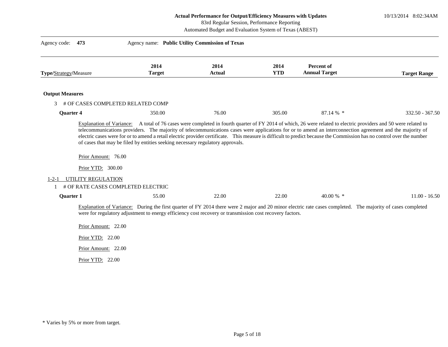10/13/2014 8:02:34AM

83rd Regular Session, Performance Reporting

Automated Budget and Evaluation System of Texas (ABEST)

| Agency code:<br>473    |                                                                                                      | Agency name: Public Utility Commission of Texas                                |                                                                                                          |                    |                                                                                                                                                                        |                     |
|------------------------|------------------------------------------------------------------------------------------------------|--------------------------------------------------------------------------------|----------------------------------------------------------------------------------------------------------|--------------------|------------------------------------------------------------------------------------------------------------------------------------------------------------------------|---------------------|
| Type/Strategy/Measure  |                                                                                                      | 2014<br><b>Target</b>                                                          | 2014<br><b>Actual</b>                                                                                    | 2014<br><b>YTD</b> | <b>Percent of</b><br><b>Annual Target</b>                                                                                                                              | <b>Target Range</b> |
| <b>Output Measures</b> |                                                                                                      |                                                                                |                                                                                                          |                    |                                                                                                                                                                        |                     |
| 3                      | # OF CASES COMPLETED RELATED COMP                                                                    |                                                                                |                                                                                                          |                    |                                                                                                                                                                        |                     |
| <b>Quarter 4</b>       |                                                                                                      | 350.00                                                                         | 76.00                                                                                                    | 305.00             | 87.14 % *                                                                                                                                                              | 332.50 - 367.50     |
| 1-2-1                  | Prior Amount: 76.00<br>Prior YTD: 300.00<br>UTILITY REGULATION<br># OF RATE CASES COMPLETED ELECTRIC | of cases that may be filed by entities seeking necessary regulatory approvals. |                                                                                                          |                    | electric cases were for or to amend a retail electric provider certificate. This measure is difficult to predict because the Commission has no control over the number |                     |
| <b>Quarter 1</b>       |                                                                                                      | 55.00                                                                          | 22.00                                                                                                    | 22.00              | 40.00 % $*$                                                                                                                                                            | $11.00 - 16.50$     |
|                        | Prior Amount: 22.00<br>Prior YTD: 22.00                                                              |                                                                                | were for regulatory adjustment to energy efficiency cost recovery or transmission cost recovery factors. |                    | Explanation of Variance: During the first quarter of FY 2014 there were 2 major and 20 minor electric rate cases completed. The majority of cases completed            |                     |
|                        |                                                                                                      |                                                                                |                                                                                                          |                    |                                                                                                                                                                        |                     |

Prior YTD: 22.00

<sup>\*</sup> Varies by 5% or more from target.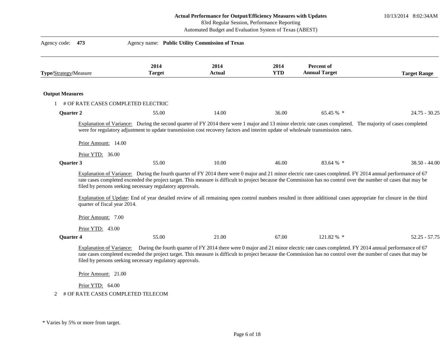10/13/2014 8:02:34AM

83rd Regular Session, Performance Reporting

| Agency code: 473       |                                                                        |                                                          | Agency name: Public Utility Commission of Texas                                                                                 |                    |                                                                                                                                                                                                                                                                                                                                                                                                                                                                                                        |                     |
|------------------------|------------------------------------------------------------------------|----------------------------------------------------------|---------------------------------------------------------------------------------------------------------------------------------|--------------------|--------------------------------------------------------------------------------------------------------------------------------------------------------------------------------------------------------------------------------------------------------------------------------------------------------------------------------------------------------------------------------------------------------------------------------------------------------------------------------------------------------|---------------------|
| Type/Strategy/Measure  |                                                                        | 2014<br><b>Target</b>                                    | 2014<br>Actual                                                                                                                  | 2014<br><b>YTD</b> | Percent of<br><b>Annual Target</b>                                                                                                                                                                                                                                                                                                                                                                                                                                                                     | <b>Target Range</b> |
| <b>Output Measures</b> |                                                                        |                                                          |                                                                                                                                 |                    |                                                                                                                                                                                                                                                                                                                                                                                                                                                                                                        |                     |
|                        | # OF RATE CASES COMPLETED ELECTRIC                                     |                                                          |                                                                                                                                 |                    |                                                                                                                                                                                                                                                                                                                                                                                                                                                                                                        |                     |
| <b>Quarter 2</b>       |                                                                        | 55.00                                                    | 14.00                                                                                                                           | 36.00              | 65.45 % *                                                                                                                                                                                                                                                                                                                                                                                                                                                                                              | $24.75 - 30.25$     |
|                        | Prior Amount: 14.00<br>Prior YTD: 36.00                                |                                                          | were for regulatory adjustment to update transmission cost recovery factors and interim update of wholesale transmission rates. |                    | Explanation of Variance: During the second quarter of FY 2014 there were 1 major and 13 minor electric rate cases completed. The majority of cases completed                                                                                                                                                                                                                                                                                                                                           |                     |
| Quarter 3              |                                                                        | 55.00                                                    | 10.00                                                                                                                           | 46.00              | 83.64 % *                                                                                                                                                                                                                                                                                                                                                                                                                                                                                              | $38.50 - 44.00$     |
|                        | quarter of fiscal year 2014.<br>Prior Amount: 7.00<br>Prior YTD: 43.00 | filed by persons seeking necessary regulatory approvals. |                                                                                                                                 |                    | Explanation of Variance: During the fourth quarter of FY 2014 there were 0 major and 21 minor electric rate cases completed. FY 2014 annual performance of 67<br>rate cases completed exceeded the project target. This measure is difficult to project because the Commission has no control over the number of cases that may be<br>Explanation of Update: End of year detailed review of all remaining open control numbers resulted in three additional cases appropriate for closure in the third |                     |
| <b>Quarter 4</b>       |                                                                        | 55.00                                                    | 21.00                                                                                                                           | 67.00              | 121.82 % *                                                                                                                                                                                                                                                                                                                                                                                                                                                                                             | $52.25 - 57.75$     |
|                        | Prior Amount: 21.00<br>Prior YTD: 64.00                                | filed by persons seeking necessary regulatory approvals. |                                                                                                                                 |                    | Explanation of Variance: During the fourth quarter of FY 2014 there were 0 major and 21 minor electric rate cases completed. FY 2014 annual performance of 67<br>rate cases completed exceeded the project target. This measure is difficult to project because the Commission has no control over the number of cases that may be                                                                                                                                                                     |                     |
| 2                      | # OF RATE CASES COMPLETED TELECOM                                      |                                                          |                                                                                                                                 |                    |                                                                                                                                                                                                                                                                                                                                                                                                                                                                                                        |                     |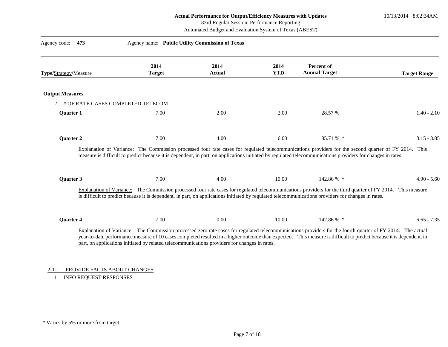10/13/2014 8:02:34AM

## 83rd Regular Session, Performance Reporting

Automated Budget and Evaluation System of Texas (ABEST)

| 473<br>Agency code:                    | Agency name: Public Utility Commission of Texas                                               |                       |                    |                                                                                                                                                                                                                                                                                                                                   |                     |
|----------------------------------------|-----------------------------------------------------------------------------------------------|-----------------------|--------------------|-----------------------------------------------------------------------------------------------------------------------------------------------------------------------------------------------------------------------------------------------------------------------------------------------------------------------------------|---------------------|
| Type/Strategy/Measure                  | 2014<br><b>Target</b>                                                                         | 2014<br><b>Actual</b> | 2014<br><b>YTD</b> | Percent of<br><b>Annual Target</b>                                                                                                                                                                                                                                                                                                | <b>Target Range</b> |
| <b>Output Measures</b>                 |                                                                                               |                       |                    |                                                                                                                                                                                                                                                                                                                                   |                     |
| # OF RATE CASES COMPLETED TELECOM<br>2 |                                                                                               |                       |                    |                                                                                                                                                                                                                                                                                                                                   |                     |
| <b>Ouarter 1</b>                       | 7.00                                                                                          | 2.00                  | 2.00               | 28.57 %                                                                                                                                                                                                                                                                                                                           | $1.40 - 2.10$       |
| <b>Quarter 2</b>                       | 7.00                                                                                          | 4.00                  | 6.00               | 85.71 % *                                                                                                                                                                                                                                                                                                                         | $3.15 - 3.85$       |
|                                        |                                                                                               |                       |                    | Explanation of Variance: The Commission processed four rate cases for regulated telecommunications providers for the second quarter of FY 2014. This<br>measure is difficult to predict because it is dependent, in part, on applications initiated by regulated telecommunications providers for changes in rates.               |                     |
| Quarter 3                              | 7.00                                                                                          | 4.00                  | 10.00              | 142.86 % *                                                                                                                                                                                                                                                                                                                        | $4.90 - 5.60$       |
|                                        |                                                                                               |                       |                    | Explanation of Variance: The Commission processed four rate cases for regulated telecommunications providers for the third quarter of FY 2014. This measure<br>is difficult to predict because it is dependent, in part, on applications initiated by regulated telecommunications providers for changes in rates.                |                     |
| Quarter 4                              | 7.00                                                                                          | 0.00                  | 10.00              | 142.86 % *                                                                                                                                                                                                                                                                                                                        | $6.65 - 7.35$       |
|                                        | part, on applications initiated by related telecommunications providers for changes in rates. |                       |                    | Explanation of Variance: The Commission processed zero rate cases for regulated telecommunications providers for the fourth quarter of FY 2014. The actual<br>year-to-date performance measure of 10 cases completed resulted in a higher outcome than expected. This measure is difficult to predict because it is dependent, in |                     |

## 2-1-1 PROVIDE FACTS ABOUT CHANGES

1 INFO REQUEST RESPONSES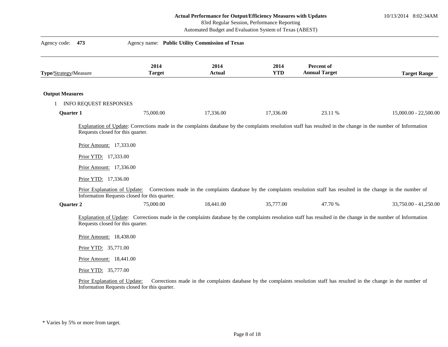10/13/2014 8:02:34AM

83rd Regular Session, Performance Reporting

| Agency code:           | 473                                                                                                                                                                     | Agency name: Public Utility Commission of Texas                                                                                                                                                                |                       |                    |                                                                                                                            |                       |
|------------------------|-------------------------------------------------------------------------------------------------------------------------------------------------------------------------|----------------------------------------------------------------------------------------------------------------------------------------------------------------------------------------------------------------|-----------------------|--------------------|----------------------------------------------------------------------------------------------------------------------------|-----------------------|
| Type/Strategy/Measure  |                                                                                                                                                                         | 2014<br><b>Target</b>                                                                                                                                                                                          | 2014<br><b>Actual</b> | 2014<br><b>YTD</b> | Percent of<br><b>Annual Target</b>                                                                                         | <b>Target Range</b>   |
| <b>Output Measures</b> |                                                                                                                                                                         |                                                                                                                                                                                                                |                       |                    |                                                                                                                            |                       |
|                        | <b>INFO REQUEST RESPONSES</b>                                                                                                                                           |                                                                                                                                                                                                                |                       |                    |                                                                                                                            |                       |
| Quarter 1              |                                                                                                                                                                         | 75,000.00                                                                                                                                                                                                      | 17,336.00             | 17,336.00          | 23.11 %                                                                                                                    | 15,000.00 - 22,500.00 |
|                        | Prior Amount: 17,333.00<br>Prior YTD: 17,333.00<br>Prior Amount: 17,336.00<br>Prior YTD: 17,336.00                                                                      | Prior Explanation of Update: Corrections made in the complaints database by the complaints resolution staff has resulted in the change in the number of<br>Information Requests closed for this quarter.       |                       |                    |                                                                                                                            |                       |
| Quarter 2              |                                                                                                                                                                         | 75,000.00                                                                                                                                                                                                      | 18,441.00             | 35,777.00          | 47.70 %                                                                                                                    | 33,750.00 - 41,250.00 |
|                        | Requests closed for this quarter.<br>Prior Amount: 18,438.00<br>Prior YTD: 35,771.00<br>Prior Amount: 18,441.00<br>Prior YTD: 35,777.00<br>Prior Explanation of Update: | Explanation of Update: Corrections made in the complaints database by the complaints resolution staff has resulted in the change in the number of Information<br>Information Requests closed for this quarter. |                       |                    | Corrections made in the complaints database by the complaints resolution staff has resulted in the change in the number of |                       |

<sup>\*</sup> Varies by 5% or more from target.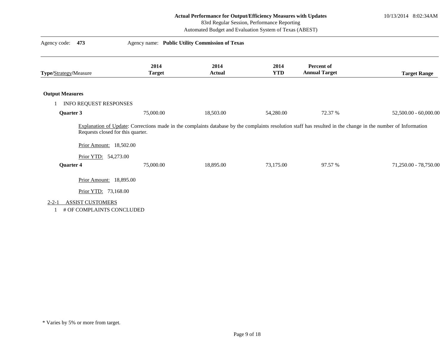10/13/2014 8:02:34AM

### 83rd Regular Session, Performance Reporting

| Agency code:<br>473                                                 |                                                                                                                                                                                                    | Agency name: Public Utility Commission of Texas |                    |                                           |                       |
|---------------------------------------------------------------------|----------------------------------------------------------------------------------------------------------------------------------------------------------------------------------------------------|-------------------------------------------------|--------------------|-------------------------------------------|-----------------------|
| Type/Strategy/Measure                                               | 2014<br><b>Target</b>                                                                                                                                                                              | 2014<br><b>Actual</b>                           | 2014<br><b>YTD</b> | <b>Percent of</b><br><b>Annual Target</b> | <b>Target Range</b>   |
| <b>Output Measures</b>                                              |                                                                                                                                                                                                    |                                                 |                    |                                           |                       |
| INFO REQUEST RESPONSES                                              |                                                                                                                                                                                                    |                                                 |                    |                                           |                       |
| Quarter 3                                                           | 75,000.00                                                                                                                                                                                          | 18,503.00                                       | 54,280.00          | 72.37 %                                   | 52,500.00 - 60,000.00 |
| Prior Amount: 18,502.00                                             | Explanation of Update: Corrections made in the complaints database by the complaints resolution staff has resulted in the change in the number of Information<br>Requests closed for this quarter. |                                                 |                    |                                           |                       |
| Prior YTD: 54,273.00                                                |                                                                                                                                                                                                    |                                                 |                    |                                           |                       |
| Quarter 4                                                           | 75,000.00                                                                                                                                                                                          | 18,895.00                                       | 73,175.00          | 97.57 %                                   | 71,250.00 - 78,750.00 |
| Prior Amount: 18,895.00                                             |                                                                                                                                                                                                    |                                                 |                    |                                           |                       |
| Prior YTD: 73,168.00                                                |                                                                                                                                                                                                    |                                                 |                    |                                           |                       |
| <b>ASSIST CUSTOMERS</b><br>$2 - 2 - 1$<br># OF COMPLAINTS CONCLUDED |                                                                                                                                                                                                    |                                                 |                    |                                           |                       |

<sup>\*</sup> Varies by 5% or more from target.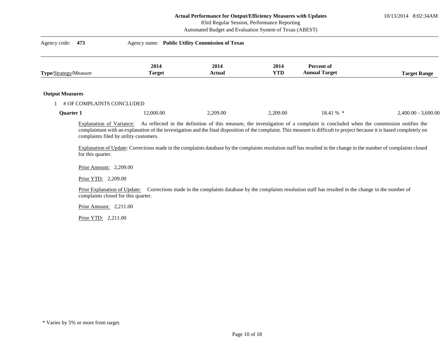10/13/2014 8:02:34AM

#### 83rd Regular Session, Performance Reporting

|                        |                                               |                                                                     | Automated Budget and Evaluation System of Texas (ABEST) |                    |                                                                                                                                                                                                                                                                                                                                                                                                                                                                                   |                       |
|------------------------|-----------------------------------------------|---------------------------------------------------------------------|---------------------------------------------------------|--------------------|-----------------------------------------------------------------------------------------------------------------------------------------------------------------------------------------------------------------------------------------------------------------------------------------------------------------------------------------------------------------------------------------------------------------------------------------------------------------------------------|-----------------------|
| Agency code:           | 473                                           |                                                                     | Agency name: Public Utility Commission of Texas         |                    |                                                                                                                                                                                                                                                                                                                                                                                                                                                                                   |                       |
| Type/Strategy/Measure  |                                               | 2014<br><b>Target</b>                                               | 2014<br><b>Actual</b>                                   | 2014<br><b>YTD</b> | Percent of<br><b>Annual Target</b>                                                                                                                                                                                                                                                                                                                                                                                                                                                | <b>Target Range</b>   |
| <b>Output Measures</b> |                                               |                                                                     |                                                         |                    |                                                                                                                                                                                                                                                                                                                                                                                                                                                                                   |                       |
|                        |                                               | # OF COMPLAINTS CONCLUDED                                           |                                                         |                    |                                                                                                                                                                                                                                                                                                                                                                                                                                                                                   |                       |
| Quarter 1              |                                               | 12,000.00                                                           | 2,209.00                                                | 2,209.00           | 18.41 % *                                                                                                                                                                                                                                                                                                                                                                                                                                                                         | $2,400.00 - 3,600.00$ |
|                        | Explanation of Variance:<br>for this quarter. | complaints filed by utility customers.                              |                                                         |                    | As reflected in the definition of this measure, the investigation of a complaint is concluded when the commission notifies the<br>complaintant with an explanation of the investigation and the final disposition of the complaint. This measure is difficult to project because it is based completely on<br>Explanation of Update: Corrections made in the complaints database by the complaints resolution staff has resulted in the change in the number of complaints closed |                       |
|                        | Prior Amount: 2,209.00                        |                                                                     |                                                         |                    |                                                                                                                                                                                                                                                                                                                                                                                                                                                                                   |                       |
|                        | Prior YTD: 2,209.00                           |                                                                     |                                                         |                    |                                                                                                                                                                                                                                                                                                                                                                                                                                                                                   |                       |
|                        |                                               | Prior Explanation of Update:<br>complaints closed for this quarter. |                                                         |                    | Corrections made in the complaints database by the complaints resolution staff has resulted in the change in the number of                                                                                                                                                                                                                                                                                                                                                        |                       |
|                        | Prior Amount: 2,211.00                        |                                                                     |                                                         |                    |                                                                                                                                                                                                                                                                                                                                                                                                                                                                                   |                       |
|                        | Prior YTD: 2,211.00                           |                                                                     |                                                         |                    |                                                                                                                                                                                                                                                                                                                                                                                                                                                                                   |                       |
|                        |                                               |                                                                     |                                                         |                    |                                                                                                                                                                                                                                                                                                                                                                                                                                                                                   |                       |
|                        |                                               |                                                                     |                                                         |                    |                                                                                                                                                                                                                                                                                                                                                                                                                                                                                   |                       |
|                        |                                               |                                                                     |                                                         |                    |                                                                                                                                                                                                                                                                                                                                                                                                                                                                                   |                       |
|                        |                                               |                                                                     |                                                         |                    |                                                                                                                                                                                                                                                                                                                                                                                                                                                                                   |                       |
|                        |                                               |                                                                     |                                                         |                    |                                                                                                                                                                                                                                                                                                                                                                                                                                                                                   |                       |
|                        |                                               |                                                                     |                                                         |                    |                                                                                                                                                                                                                                                                                                                                                                                                                                                                                   |                       |
|                        |                                               |                                                                     |                                                         |                    |                                                                                                                                                                                                                                                                                                                                                                                                                                                                                   |                       |

<sup>\*</sup> Varies by 5% or more from target.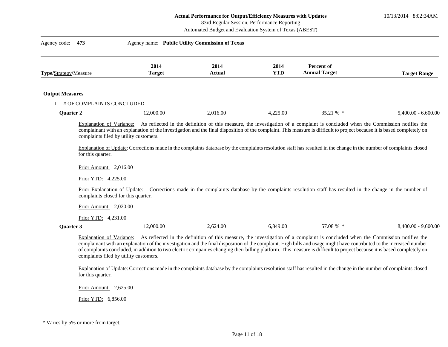10/13/2014 8:02:34AM

## 83rd Regular Session, Performance Reporting

Automated Budget and Evaluation System of Texas (ABEST)

| Agency code:                 | 473                                                                                                                      | Agency name: Public Utility Commission of Texas                                                                                                                                                                                                                                                                                                                                                                                                                                                                                                                                            |                |                    |                                                                                                                                |                       |
|------------------------------|--------------------------------------------------------------------------------------------------------------------------|--------------------------------------------------------------------------------------------------------------------------------------------------------------------------------------------------------------------------------------------------------------------------------------------------------------------------------------------------------------------------------------------------------------------------------------------------------------------------------------------------------------------------------------------------------------------------------------------|----------------|--------------------|--------------------------------------------------------------------------------------------------------------------------------|-----------------------|
| <b>Type/Strategy/Measure</b> |                                                                                                                          | 2014<br><b>Target</b>                                                                                                                                                                                                                                                                                                                                                                                                                                                                                                                                                                      | 2014<br>Actual | 2014<br><b>YTD</b> | Percent of<br><b>Annual Target</b>                                                                                             | <b>Target Range</b>   |
| <b>Output Measures</b>       |                                                                                                                          |                                                                                                                                                                                                                                                                                                                                                                                                                                                                                                                                                                                            |                |                    |                                                                                                                                |                       |
|                              | # OF COMPLAINTS CONCLUDED                                                                                                |                                                                                                                                                                                                                                                                                                                                                                                                                                                                                                                                                                                            |                |                    |                                                                                                                                |                       |
| Quarter 2                    |                                                                                                                          | 12,000.00                                                                                                                                                                                                                                                                                                                                                                                                                                                                                                                                                                                  | 2,016.00       | 4,225.00           | 35.21 % *                                                                                                                      | $5,400.00 - 6,600.00$ |
|                              | Explanation of Variance:<br>for this quarter.<br>Prior Amount: 2,016.00<br>Prior YTD: 4,225.00<br>Prior Amount: 2,020.00 | complainant with an explanation of the investigation and the final disposition of the complaint. This measure is difficult to project because it is based completely on<br>complaints filed by utility customers.<br>Explanation of Update: Corrections made in the complaints database by the complaints resolution staff has resulted in the change in the number of complaints closed<br>Prior Explanation of Update: Corrections made in the complaints database by the complaints resolution staff has resulted in the change in the number of<br>complaints closed for this quarter. |                |                    | As reflected in the definition of this measure, the investigation of a complaint is concluded when the Commission notifies the |                       |
|                              | Prior YTD: 4,231.00                                                                                                      |                                                                                                                                                                                                                                                                                                                                                                                                                                                                                                                                                                                            |                |                    |                                                                                                                                |                       |
| Quarter 3                    |                                                                                                                          | 12,000.00                                                                                                                                                                                                                                                                                                                                                                                                                                                                                                                                                                                  | 2,624.00       | 6,849.00           | 57.08 % *                                                                                                                      | $8,400.00 - 9,600.00$ |
|                              | Explanation of Variance:<br>for this quarter.                                                                            | complainant with an explanation of the investigation and the final disposition of the complaint. High bills and usage might have contributed to the increased number<br>of complaints concluded, in addition to two electric companies changing their billing platform. This measure is difficult to project because it is based completely on<br>complaints filed by utility customers.<br>Explanation of Update: Corrections made in the complaints database by the complaints resolution staff has resulted in the change in the number of complaints closed                            |                |                    | As reflected in the definition of this measure, the investigation of a complaint is concluded when the Commission notifies the |                       |
|                              | Prior Amount: 2,625.00                                                                                                   |                                                                                                                                                                                                                                                                                                                                                                                                                                                                                                                                                                                            |                |                    |                                                                                                                                |                       |

Prior YTD: 6,856.00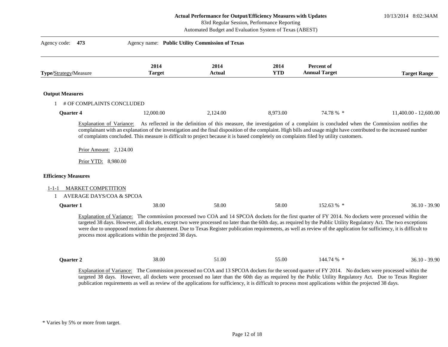10/13/2014 8:02:34AM

| Agency code:<br>473                                                                           | Agency name: Public Utility Commission of Texas                  |                       |                    |                                                                                                                                                                                                                                                                                                                                                                                                                                                                                                                    |                         |
|-----------------------------------------------------------------------------------------------|------------------------------------------------------------------|-----------------------|--------------------|--------------------------------------------------------------------------------------------------------------------------------------------------------------------------------------------------------------------------------------------------------------------------------------------------------------------------------------------------------------------------------------------------------------------------------------------------------------------------------------------------------------------|-------------------------|
| <b>Type/Strategy/Measure</b>                                                                  | 2014<br><b>Target</b>                                            | 2014<br><b>Actual</b> | 2014<br><b>YTD</b> | Percent of<br><b>Annual Target</b>                                                                                                                                                                                                                                                                                                                                                                                                                                                                                 | <b>Target Range</b>     |
| <b>Output Measures</b>                                                                        |                                                                  |                       |                    |                                                                                                                                                                                                                                                                                                                                                                                                                                                                                                                    |                         |
| # OF COMPLAINTS CONCLUDED                                                                     |                                                                  |                       |                    |                                                                                                                                                                                                                                                                                                                                                                                                                                                                                                                    |                         |
| Quarter 4                                                                                     | 12,000.00                                                        | 2,124.00              | 8,973.00           | 74.78 % *                                                                                                                                                                                                                                                                                                                                                                                                                                                                                                          | $11,400.00 - 12,600.00$ |
| Prior Amount: $2,124.00$                                                                      |                                                                  |                       |                    | complainant with an explanation of the investigation and the final disposition of the complaint. High bills and usage might have contributed to the increased number<br>of complaints concluded. This measure is difficult to project because it is based completely on complaints filed by utility customers.                                                                                                                                                                                                     |                         |
| Prior YTD: 8,980.00<br><b>Efficiency Measures</b><br><b>MARKET COMPETITION</b><br>$1 - 1 - 1$ |                                                                  |                       |                    |                                                                                                                                                                                                                                                                                                                                                                                                                                                                                                                    |                         |
| <b>AVERAGE DAYS/COA &amp; SPCOA</b><br>1                                                      |                                                                  |                       |                    |                                                                                                                                                                                                                                                                                                                                                                                                                                                                                                                    |                         |
| Quarter 1                                                                                     | 38.00<br>process most applications within the projected 38 days. | 58.00                 | 58.00              | 152.63 % *<br>Explanation of Variance: The commission processed two COA and 14 SPCOA dockets for the first quarter of FY 2014. No dockets were processed within the<br>targeted 38 days. However, all dockets, except two were processed no later than the 60th day, as required by the Public Utility Regulatory Act. The two exceptions<br>were due to unopposed motions for abatement. Due to Texas Register publication requirements, as well as review of the application for sufficiency, it is difficult to | $36.10 - 39.90$         |

publication requirements as well as review of the applications for sufficiency, it is difficult to process most applications within the projected 38 days.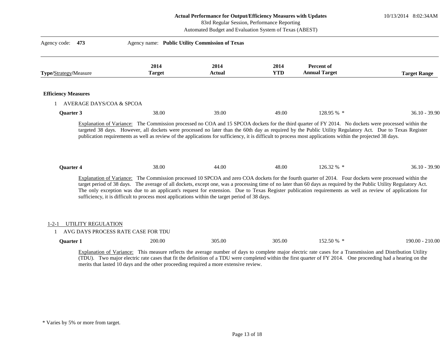10/13/2014 8:02:34AM

#### 83rd Regular Session, Performance Reporting

| Agency code:<br>473               | Agency name: Public Utility Commission of Texas                                                                                                                                                                                                                                                                                                                                                                                                                                                                                                                                            |                |                    |                                    |                     |
|-----------------------------------|--------------------------------------------------------------------------------------------------------------------------------------------------------------------------------------------------------------------------------------------------------------------------------------------------------------------------------------------------------------------------------------------------------------------------------------------------------------------------------------------------------------------------------------------------------------------------------------------|----------------|--------------------|------------------------------------|---------------------|
| <b>Type/Strategy/Measure</b>      | 2014<br><b>Target</b>                                                                                                                                                                                                                                                                                                                                                                                                                                                                                                                                                                      | 2014<br>Actual | 2014<br><b>YTD</b> | Percent of<br><b>Annual Target</b> | <b>Target Range</b> |
| <b>Efficiency Measures</b>        |                                                                                                                                                                                                                                                                                                                                                                                                                                                                                                                                                                                            |                |                    |                                    |                     |
| AVERAGE DAYS/COA & SPCOA          |                                                                                                                                                                                                                                                                                                                                                                                                                                                                                                                                                                                            |                |                    |                                    |                     |
| Quarter 3                         | 38.00                                                                                                                                                                                                                                                                                                                                                                                                                                                                                                                                                                                      | 39.00          | 49.00              | 128.95 % *                         | $36.10 - 39.90$     |
| <b>Ouarter 4</b>                  | 38.00                                                                                                                                                                                                                                                                                                                                                                                                                                                                                                                                                                                      | 44.00          | 48.00              | 126.32 % *                         | $36.10 - 39.90$     |
|                                   | Explanation of Variance: The Commission processed 10 SPCOA and zero COA dockets for the fourth quarter of 2014. Four dockets were processed within the<br>target period of 38 days. The average of all dockets, except one, was a processing time of no later than 60 days as required by the Public Utility Regulatory Act.<br>The only exception was due to an applicant's request for extension. Due to Texas Register publication requirements as well as review of applications for<br>sufficiency, it is difficult to process most applications within the target period of 38 days. |                |                    |                                    |                     |
| UTILITY REGULATION<br>$1 - 2 - 1$ |                                                                                                                                                                                                                                                                                                                                                                                                                                                                                                                                                                                            |                |                    |                                    |                     |
|                                   | AVG DAYS PROCESS RATE CASE FOR TDU                                                                                                                                                                                                                                                                                                                                                                                                                                                                                                                                                         |                |                    |                                    |                     |
| Quarter 1                         | 200.00                                                                                                                                                                                                                                                                                                                                                                                                                                                                                                                                                                                     | 305.00         | 305.00             | 152.50 % *                         | 190.00 - 210.00     |
|                                   | Explanation of Variance: This measure reflects the average number of days to complete major electric rate cases for a Transmission and Distribution Utility<br>(TDU). Two major electric rate cases that fit the definition of a TDU were completed within the first quarter of FY 2014. One proceeding had a hearing on the<br>merits that lasted 10 days and the other proceeding required a more extensive review.                                                                                                                                                                      |                |                    |                                    |                     |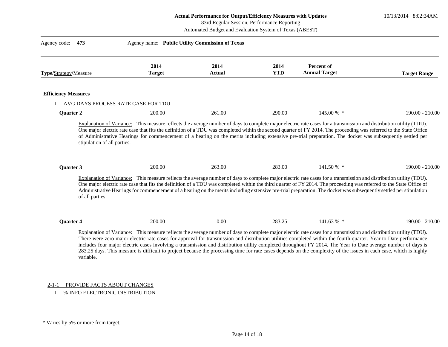10/13/2014 8:02:34AM

|                            |                             |                                              |                                                                                                                                                                    | 83rd Regular Session, Performance Reporting<br>Automated Budget and Evaluation System of Texas (ABEST) |                                    |                                                                                                                                                                                                                                                                                                                                                                                                                                                                                                         |
|----------------------------|-----------------------------|----------------------------------------------|--------------------------------------------------------------------------------------------------------------------------------------------------------------------|--------------------------------------------------------------------------------------------------------|------------------------------------|---------------------------------------------------------------------------------------------------------------------------------------------------------------------------------------------------------------------------------------------------------------------------------------------------------------------------------------------------------------------------------------------------------------------------------------------------------------------------------------------------------|
| Agency code: 473           |                             |                                              | Agency name: Public Utility Commission of Texas                                                                                                                    |                                                                                                        |                                    |                                                                                                                                                                                                                                                                                                                                                                                                                                                                                                         |
| Type/Strategy/Measure      |                             | 2014<br><b>Target</b>                        | 2014<br><b>Actual</b>                                                                                                                                              | 2014<br><b>YTD</b>                                                                                     | Percent of<br><b>Annual Target</b> | <b>Target Range</b>                                                                                                                                                                                                                                                                                                                                                                                                                                                                                     |
| <b>Efficiency Measures</b> |                             |                                              |                                                                                                                                                                    |                                                                                                        |                                    |                                                                                                                                                                                                                                                                                                                                                                                                                                                                                                         |
| Quarter 2                  |                             | AVG DAYS PROCESS RATE CASE FOR TDU<br>200.00 | 261.00                                                                                                                                                             | 290.00                                                                                                 | 145.00 % *                         | 190.00 - 210.00                                                                                                                                                                                                                                                                                                                                                                                                                                                                                         |
| <b>Quarter 3</b>           | stipulation of all parties. | 200.00                                       | 263.00                                                                                                                                                             | 283.00                                                                                                 | 141.50 % *                         | of Administrative Hearings for commencement of a hearing on the merits including extensive pre-trial preparation. The docket was subsequently settled per<br>$190.00 - 210.00$                                                                                                                                                                                                                                                                                                                          |
|                            | of all parties.             |                                              | Explanation of Variance: This measure reflects the average number of days to complete major electric rate cases for a transmission and distribution utility (TDU). |                                                                                                        |                                    | One major electric rate case that fits the definition of a TDU was completed within the third quarter of FY 2014. The proceeding was referred to the State Office of<br>Administrative Hearings for commencement of a hearing on the merits including extensive pre-trial preparation. The docket was subsequently settled per stipulation                                                                                                                                                              |
| <b>Ouarter 4</b>           |                             | 200.00                                       | 0.00                                                                                                                                                               | 283.25                                                                                                 | $141.63\%$ *                       | $190.00 - 210.00$                                                                                                                                                                                                                                                                                                                                                                                                                                                                                       |
|                            | variable.                   |                                              | Explanation of Variance: This measure reflects the average number of days to complete major electric rate cases for a transmission and distribution utility (TDU). |                                                                                                        |                                    | There were zero major electric rate cases for approval for transmission and distribution utilities completed within the fourth quarter. Year to Date performance<br>includes four major electric cases involving a transmission and distribution utility completed throughout FY 2014. The Year to Date average number of days is<br>283.25 days. This measure is difficult to project because the processing time for rate cases depends on the complexity of the issues in each case, which is highly |

#### 2-1-1 PROVIDE FACTS ABOUT CHANGES

1 % INFO ELECTRONIC DISTRIBUTION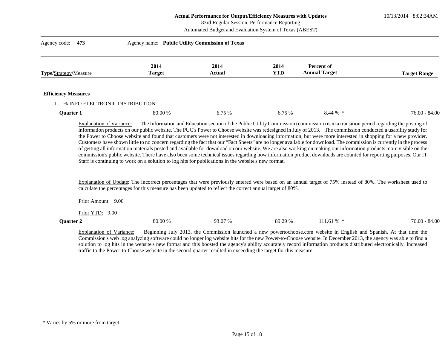10/13/2014 8:02:34AM

#### 83rd Regular Session, Performance Reporting

Automated Budget and Evaluation System of Texas (ABEST)

| Agency code: 473                |                       |                |                    |                                                                                                                                                                                                                                                      |                     |
|---------------------------------|-----------------------|----------------|--------------------|------------------------------------------------------------------------------------------------------------------------------------------------------------------------------------------------------------------------------------------------------|---------------------|
| <b>Type/Strategy/Measure</b>    | 2014<br><b>Target</b> | 2014<br>Actual | 2014<br><b>YTD</b> | Percent of<br><b>Annual Target</b>                                                                                                                                                                                                                   | <b>Target Range</b> |
| <b>Efficiency Measures</b>      |                       |                |                    |                                                                                                                                                                                                                                                      |                     |
| % INFO ELECTRONIC DISTRIBUTION  |                       |                |                    |                                                                                                                                                                                                                                                      |                     |
| <b>Ouarter 1</b>                | 80.00 %               | 6.75 %         | 6.75%              | $8.44\%$ *                                                                                                                                                                                                                                           | $76.00 - 84.00$     |
| <b>Explanation of Variance:</b> |                       |                |                    | The Information and Education section of the Public Utility Commission (commission) is in a transition period regarding the posting of<br>للناقا والمتحدث والمستقرق والمتحدث والمتحدث والمتحدث والمتحدث والمتحدث والمتحدث والمتحدث والمتحدث والمتحدث |                     |

information products on our public website. The PUC's Power to Choose website was redesigned in July of 2013. The commission conducted a usability study for the Power to Choose website and found that customers were not interested in downloading information, but were more interested in shopping for a new provider. Customers have shown little to no concern regarding the fact that our "Fact Sheets" are no longer available for download. The commission is currently in the process of getting all information materials posted and available for download on our website. We are also working on making our information products more visible on the commission's public website. There have also been some technical issues regarding how information product downloads are counted for reporting purposes. Our IT Staff is continuing to work on a solution to log hits for publications in the website's new format.

Explanation of Update: The incorrect percentages that were previously entered were based on an annual target of 75% instead of 80%. The worksheet used to calculate the percentages for this measure has been updated to reflect the correct annual target of 80%.

Prior Amount: 9.00

Prior YTD: 9.00

#### **Quarter 2** 80.00 % 80.00 % 93.07 % 89.29 % 111.61 % \* 76.00 - 84.00

Explanation of Variance: Beginning July 2013, the Commission launched a new powertochoose.com website in English and Spanish. At that time the Commission's web log analyzing software could no longer log website hits for the new Power-to-Choose website. In December 2013, the agency was able to find a solution to log hits in the website's new format and this boosted the agency's ability accurately record information products distributed electronically. Increased traffic to the Power-to-Choose website in the second quarter resulted in exceeding the target for this measure.

<sup>\*</sup> Varies by 5% or more from target.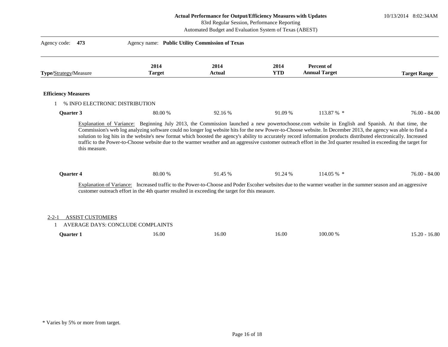10/13/2014 8:02:34AM

| 83rd Regular Session, Performance Reporting<br>Automated Budget and Evaluation System of Texas (ABEST) |                                          |                                                                                                                      |                    |                                    |                                                                                                                                                                                                                                                                                                                                            |  |
|--------------------------------------------------------------------------------------------------------|------------------------------------------|----------------------------------------------------------------------------------------------------------------------|--------------------|------------------------------------|--------------------------------------------------------------------------------------------------------------------------------------------------------------------------------------------------------------------------------------------------------------------------------------------------------------------------------------------|--|
| Agency code:<br>473                                                                                    |                                          | Agency name: Public Utility Commission of Texas                                                                      |                    |                                    |                                                                                                                                                                                                                                                                                                                                            |  |
| Type/Strategy/Measure                                                                                  | 2014<br><b>Target</b>                    | 2014<br><b>Actual</b>                                                                                                | 2014<br><b>YTD</b> | Percent of<br><b>Annual Target</b> | <b>Target Range</b>                                                                                                                                                                                                                                                                                                                        |  |
| <b>Efficiency Measures</b>                                                                             |                                          |                                                                                                                      |                    |                                    |                                                                                                                                                                                                                                                                                                                                            |  |
|                                                                                                        | % INFO ELECTRONIC DISTRIBUTION           |                                                                                                                      |                    |                                    |                                                                                                                                                                                                                                                                                                                                            |  |
| Quarter 3                                                                                              |                                          | 80.00 %<br>92.16 %                                                                                                   | 91.09 %            | 113.87 % *                         | $76.00 - 84.00$                                                                                                                                                                                                                                                                                                                            |  |
| this measure.                                                                                          |                                          |                                                                                                                      |                    |                                    | solution to log hits in the website's new format which boosted the agency's ability to accurately record information products distributed electronically. Increased<br>traffic to the Power-to-Choose website due to the warmer weather and an aggressive customer outreach effort in the 3rd quarter resulted in exceeding the target for |  |
| Quarter 4                                                                                              |                                          | 80.00 %<br>91.45 %<br>customer outreach effort in the 4th quarter resulted in exceeding the target for this measure. | 91.24 %            | $114.05\%$ *                       | $76.00 - 84.00$<br>Explanation of Variance: Increased traffic to the Power-to-Choose and Poder Escoher websites due to the warmer weather in the summer season and an aggressive                                                                                                                                                           |  |
| <b>ASSIST CUSTOMERS</b><br>$2 - 2 - 1$                                                                 | <b>AVERAGE DAYS: CONCLUDE COMPLAINTS</b> |                                                                                                                      |                    |                                    |                                                                                                                                                                                                                                                                                                                                            |  |
| <b>Quarter 1</b>                                                                                       | 16.00                                    | 16.00                                                                                                                | 16.00              | 100.00 %                           | $15.20 - 16.80$                                                                                                                                                                                                                                                                                                                            |  |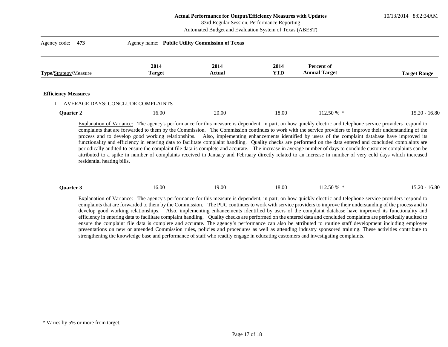10/13/2014 8:02:34AM

### 83rd Regular Session, Performance Reporting

Automated Budget and Evaluation System of Texas (ABEST)

| Agency code: 473           | Agency name: Public Utility Commission of Texas |                       |                    |                                    |                     |
|----------------------------|-------------------------------------------------|-----------------------|--------------------|------------------------------------|---------------------|
| Type/Strategy/Measure      | 2014<br><b>Target</b>                           | 2014<br><b>Actual</b> | 2014<br><b>YTD</b> | Percent of<br><b>Annual Target</b> | <b>Target Range</b> |
| <b>Efficiency Measures</b> | AVERAGE DAYS: CONCLUDE COMPLAINTS               |                       |                    |                                    |                     |
| Quarter 2                  | 16.00                                           | 20.00                 | 18.00              | $112.50\%$ *                       | $15.20 - 16.80$     |

Explanation of Variance: The agency's performance for this measure is dependent, in part, on how quickly electric and telephone service providers respond to complaints that are forwarded to them by the Commission. The Commission continues to work with the service providers to improve their understanding of the process and to develop good working relationships. Also, implementing enhancements identified by users of the complaint database have improved its functionality and efficiency in entering data to facilitate complaint handling. Quality checks are performed on the data entered and concluded complaints are periodically audited to ensure the complaint file data is complete and accurate. The increase in average number of days to conclude customer complaints can be attributed to a spike in number of complaints received in January and February directly related to an increase in number of very cold days which increased residential heating bills.

|  | <b>Ouarter 3</b> | 16.00 | 9.00 | 18.00 | 12.50 % | 16.80<br>$15.20 -$ |
|--|------------------|-------|------|-------|---------|--------------------|
|--|------------------|-------|------|-------|---------|--------------------|

Explanation of Variance: The agency's performance for this measure is dependent, in part, on how quickly electric and telephone service providers respond to complaints that are forwarded to them by the Commission. The PUC continues to work with service providers to improve their understanding of the process and to develop good working relationships. Also, implementing enhancements identified by users of the complaint database have improved its functionality and efficiency in entering data to facilitate complaint handling. Quality checks are performed on the entered data and concluded complaints are periodically audited to ensure the complaint file data is complete and accurate. The agency's performance can also be attributed to routine staff development including employee presentations on new or amended Commission rules, policies and procedures as well as attending industry sponsored training. These activities contribute to strengthening the knowledge base and performance of staff who readily engage in educating customers and investigating complaints.

<sup>\*</sup> Varies by 5% or more from target.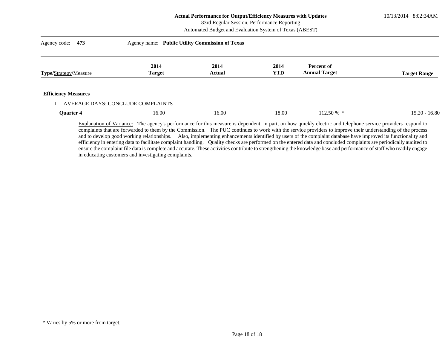10/13/2014 8:02:34AM

## 83rd Regular Session, Performance Reporting

Automated Budget and Evaluation System of Texas (ABEST)

| Agency code:<br>473          | Agency name: Public Utility Commission of Texas |                       |                    |                                    |                     |
|------------------------------|-------------------------------------------------|-----------------------|--------------------|------------------------------------|---------------------|
| <b>Type/Strategy/Measure</b> | 2014<br><b>Target</b>                           | 2014<br><b>Actual</b> | 2014<br><b>YTD</b> | Percent of<br><b>Annual Target</b> | <b>Target Range</b> |
| <b>Efficiency Measures</b>   |                                                 |                       |                    |                                    |                     |
|                              | AVERAGE DAYS: CONCLUDE COMPLAINTS               |                       |                    |                                    | $15.20 - 16.80$     |
| Quarter 4                    | 16.00                                           | 16.00                 | 18.00              | $112.50\%$ *                       |                     |

Explanation of Variance: The agency's performance for this measure is dependent, in part, on how quickly electric and telephone service providers respond to complaints that are forwarded to them by the Commission. The PUC continues to work with the service providers to improve their understanding of the process and to develop good working relationships. Also, implementing enhancements identified by users of the complaint database have improved its functionality and efficiency in entering data to facilitate complaint handling. Quality checks are performed on the entered data and concluded complaints are periodically audited to ensure the complaint file data is complete and accurate. These activities contribute to strengthening the knowledge base and performance of staff who readily engage in educating customers and investigating complaints.

<sup>\*</sup> Varies by 5% or more from target.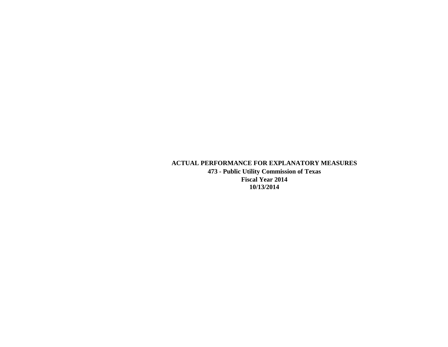## **ACTUAL PERFORMANCE FOR EXPLANATORY MEASURES**

**473 - Public Utility Commission of Texas Fiscal Year 2014 10/13/2014**